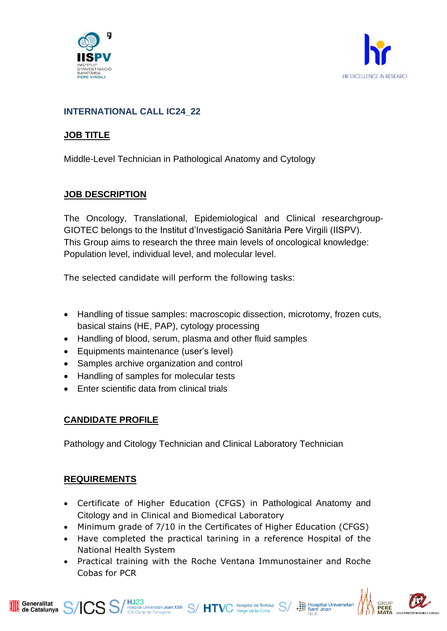



#### **INTERNATIONAL CALL IC24\_22**

#### **JOB TITLE**

Middle-Level Technician in Pathological Anatomy and Cytology

#### **JOB DESCRIPTION**

The Oncology, Translational, Epidemiological and Clinical researchgroup-GIOTEC belongs to the Institut d'Investigació Sanitària Pere Virgili (IISPV). This Group aims to research the three main levels of oncological knowledge: Population level, individual level, and molecular level.

The selected candidate will perform the following tasks:

- Handling of tissue samples: macroscopic dissection, microtomy, frozen cuts, basical stains (HE, PAP), cytology processing
- Handling of blood, serum, plasma and other fluid samples
- Equipments maintenance (user's level)
- Samples archive organization and control
- Handling of samples for molecular tests
- Enter scientific data from clinical trials

# **CANDIDATE PROFILE**

Pathology and Citology Technician and Clinical Laboratory Technician

# **REQUIREMENTS**

- Certificate of Higher Education (CFGS) in Pathological Anatomy and Citology and in Clinical and Biomedical Laboratory
- Minimum grade of 7/10 in the Certificates of Higher Education (CFGS)
- Have completed the practical tarining in a reference Hospital of the National Health System
- Practical training with the Roche Ventana Immunostainer and Roche Cobas for PCR



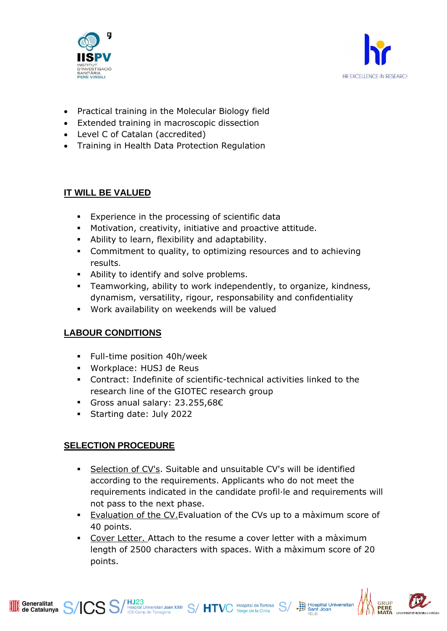



- Practical training in the Molecular Biology field
- Extended training in macroscopic dissection
- Level C of Catalan (accredited)
- Training in Health Data Protection Regulation

# **IT WILL BE VALUED**

- **Experience in the processing of scientific data**
- Motivation, creativity, initiative and proactive attitude.
- Ability to learn, flexibility and adaptability.
- **Commitment to quality, to optimizing resources and to achieving** results.
- Ability to identify and solve problems.
- Teamworking, ability to work independently, to organize, kindness, dynamism, versatility, rigour, responsability and confidentiality
- Work availability on weekends will be valued

# **LABOUR CONDITIONS**

- Full-time position 40h/week
- Workplace: HUSJ de Reus
- Contract: Indefinite of scientific-technical activities linked to the research line of the GIOTEC research group
- Gross anual salary: 23.255,68€
- Starting date: July 2022

# **SELECTION PROCEDURE**

Generalitat<br>de Catalunya Generalitat

- Selection of CV's. Suitable and unsuitable CV's will be identified according to the requirements. Applicants who do not meet the requirements indicated in the candidate profil·le and requirements will not pass to the next phase.
- Evaluation of the CV.Evaluation of the CVs up to a màximum score of 40 points.
- Cover Letter. Attach to the resume a cover letter with a màximum length of 2500 characters with spaces. With a màximum score of 20 points.

**SS** Septial Universitari Joan XXIII S/HTVC Hospital de Tortosa S/



**Sim** Hospital Universitari<br>
Sant Joan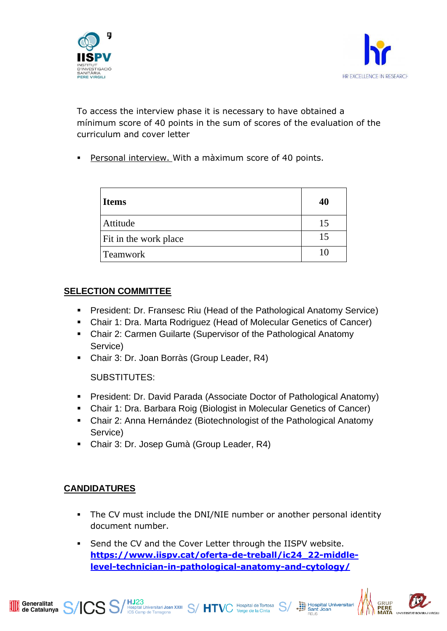



To access the interview phase it is necessary to have obtained a mínimum score of 40 points in the sum of scores of the evaluation of the curriculum and cover letter

Personal interview. With a màximum score of 40 points.

| <b>Items</b>          | 40 |
|-----------------------|----|
| Attitude              | 15 |
| Fit in the work place | 15 |
| <b>Teamwork</b>       | 10 |

#### **SELECTION COMMITTEE**

- **President: Dr. Fransesc Riu (Head of the Pathological Anatomy Service)**
- Chair 1: Dra. Marta Rodriguez (Head of Molecular Genetics of Cancer)
- Chair 2: Carmen Guilarte (Supervisor of the Pathological Anatomy Service)
- Chair 3: Dr. Joan Borràs (Group Leader, R4)

SUBSTITUTES:

- President: Dr. David Parada (Associate Doctor of Pathological Anatomy)
- Chair 1: Dra. Barbara Roig (Biologist in Molecular Genetics of Cancer)
- Chair 2: Anna Hernández (Biotechnologist of the Pathological Anatomy Service)
- Chair 3: Dr. Josep Gumà (Group Leader, R4)

# **CANDIDATURES**

- **•** The CV must include the DNI/NIE number or another personal identity document number.
- Send the CV and the Cover Letter through the IISPV website. **[https://www.iispv.cat/oferta-de-treball/ic24\\_22-middle](https://www.iispv.cat/oferta-de-treball/ic24_22-middle-level-technician-in-pathological-anatomy-and-cytology/)[level-technician-in-pathological-anatomy-and-cytology/](https://www.iispv.cat/oferta-de-treball/ic24_22-middle-level-technician-in-pathological-anatomy-and-cytology/)**

Muspital Universitari Joan XXIII S/ HTVC Hospital de Tortosa S/<br>ICS Camp de Tarragona<br>Internacional S/ HTVC Verge de la Cinta



Hospital Universitari<br>
Sant Joan